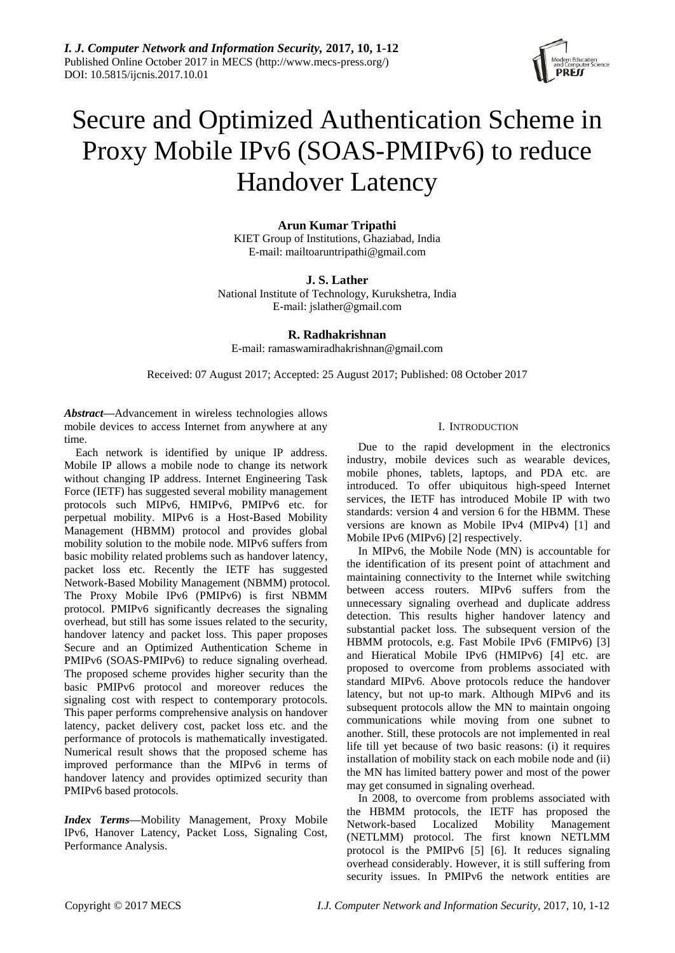

# Secure and Optimized Authentication Scheme in Proxy Mobile IPv6 (SOAS-PMIPv6) to reduce Handover Latency

**Arun Kumar Tripathi** KIET Group of Institutions, Ghaziabad, India E-mail: mailtoaruntripathi@gmail.com

**J. S. Lather** 

National Institute of Technology, Kurukshetra, India E-mail: jslather@gmail.com

# **R. Radhakrishnan**

E-mail: ramaswamiradhakrishnan@gmail.com

Received: 07 August 2017; Accepted: 25 August 2017; Published: 08 October 2017

*Abstract***—**Advancement in wireless technologies allows mobile devices to access Internet from anywhere at any time.

Each network is identified by unique IP address. Mobile IP allows a mobile node to change its network without changing IP address. Internet Engineering Task Force (IETF) has suggested several mobility management protocols such MIPv6, HMIPv6, PMIPv6 etc. for perpetual mobility. MIPv6 is a Host-Based Mobility Management (HBMM) protocol and provides global mobility solution to the mobile node. MIPv6 suffers from basic mobility related problems such as handover latency, packet loss etc. Recently the IETF has suggested Network-Based Mobility Management (NBMM) protocol. The Proxy Mobile IPv6 (PMIPv6) is first NBMM protocol. PMIPv6 significantly decreases the signaling overhead, but still has some issues related to the security, handover latency and packet loss. This paper proposes Secure and an Optimized Authentication Scheme in PMIPv6 (SOAS-PMIPv6) to reduce signaling overhead. The proposed scheme provides higher security than the basic PMIPv6 protocol and moreover reduces the signaling cost with respect to contemporary protocols. This paper performs comprehensive analysis on handover latency, packet delivery cost, packet loss etc. and the performance of protocols is mathematically investigated. Numerical result shows that the proposed scheme has improved performance than the MIPv6 in terms of handover latency and provides optimized security than PMIPv6 based protocols.

*Index Terms***—**Mobility Management, Proxy Mobile IPv6, Hanover Latency, Packet Loss, Signaling Cost, Performance Analysis.

# I. INTRODUCTION

Due to the rapid development in the electronics industry, mobile devices such as wearable devices, mobile phones, tablets, laptops, and PDA etc. are introduced. To offer ubiquitous high-speed Internet services, the IETF has introduced Mobile IP with two standards: version 4 and version 6 for the HBMM. These versions are known as Mobile IPv4 (MIPv4) [1] and Mobile IPv6 (MIPv6) [2] respectively.

In MIPv6, the Mobile Node (MN) is accountable for the identification of its present point of attachment and maintaining connectivity to the Internet while switching between access routers. MIPv6 suffers from the unnecessary signaling overhead and duplicate address detection. This results higher handover latency and substantial packet loss. The subsequent version of the HBMM protocols, e.g. Fast Mobile IPv6 (FMIPv6) [3] and Hieratical Mobile IPv6 (HMIPv6) [4] etc. are proposed to overcome from problems associated with standard MIPv6. Above protocols reduce the handover latency, but not up-to mark. Although MIPv6 and its subsequent protocols allow the MN to maintain ongoing communications while moving from one subnet to another. Still, these protocols are not implemented in real life till yet because of two basic reasons: (i) it requires installation of mobility stack on each mobile node and (ii) the MN has limited battery power and most of the power may get consumed in signaling overhead.

In 2008, to overcome from problems associated with the HBMM protocols, the IETF has proposed the Network-based Localized Mobility Management (NETLMM) protocol. The first known NETLMM protocol is the PMIPv6 [5] [6]. It reduces signaling overhead considerably. However, it is still suffering from security issues. In PMIPv6 the network entities are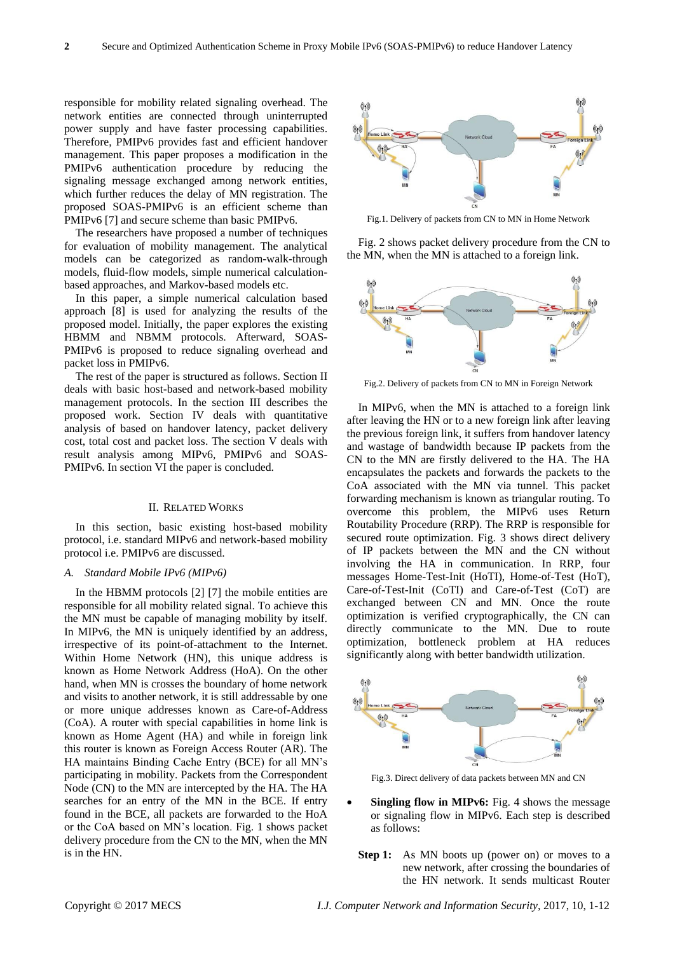responsible for mobility related signaling overhead. The network entities are connected through uninterrupted power supply and have faster processing capabilities. Therefore, PMIPv6 provides fast and efficient handover management. This paper proposes a modification in the PMIPv6 authentication procedure by reducing the signaling message exchanged among network entities, which further reduces the delay of MN registration. The proposed SOAS-PMIPv6 is an efficient scheme than PMIPv6 [7] and secure scheme than basic PMIPv6.

The researchers have proposed a number of techniques for evaluation of mobility management. The analytical models can be categorized as random-walk-through models, fluid-flow models, simple numerical calculationbased approaches, and Markov-based models etc.

In this paper, a simple numerical calculation based approach [8] is used for analyzing the results of the proposed model. Initially, the paper explores the existing HBMM and NBMM protocols. Afterward, SOAS-PMIPv6 is proposed to reduce signaling overhead and packet loss in PMIPv6.

The rest of the paper is structured as follows. Section II deals with basic host-based and network-based mobility management protocols. In the section III describes the proposed work. Section IV deals with quantitative analysis of based on handover latency, packet delivery cost, total cost and packet loss. The section V deals with result analysis among MIPv6, PMIPv6 and SOAS-PMIPv6. In section VI the paper is concluded.

#### II. RELATED WORKS

In this section, basic existing host-based mobility protocol, i.e. standard MIPv6 and network-based mobility protocol i.e. PMIPv6 are discussed.

### *A. Standard Mobile IPv6 (MIPv6)*

In the HBMM protocols [2] [7] the mobile entities are responsible for all mobility related signal. To achieve this the MN must be capable of managing mobility by itself. In MIPv6, the MN is uniquely identified by an address, irrespective of its point-of-attachment to the Internet. Within Home Network (HN), this unique address is known as Home Network Address (HoA). On the other hand, when MN is crosses the boundary of home network and visits to another network, it is still addressable by one or more unique addresses known as Care-of-Address (CoA). A router with special capabilities in home link is known as Home Agent (HA) and while in foreign link this router is known as Foreign Access Router (AR). The HA maintains Binding Cache Entry (BCE) for all MN's participating in mobility. Packets from the Correspondent Node (CN) to the MN are intercepted by the HA. The HA searches for an entry of the MN in the BCE. If entry found in the BCE, all packets are forwarded to the HoA or the CoA based on MN's location. Fig. 1 shows packet delivery procedure from the CN to the MN, when the MN is in the HN.



Fig.1. Delivery of packets from CN to MN in Home Network

Fig. 2 shows packet delivery procedure from the CN to the MN, when the MN is attached to a foreign link.



Fig.2. Delivery of packets from CN to MN in Foreign Network

In MIPv6, when the MN is attached to a foreign link after leaving the HN or to a new foreign link after leaving the previous foreign link, it suffers from handover latency and wastage of bandwidth because IP packets from the CN to the MN are firstly delivered to the HA. The HA encapsulates the packets and forwards the packets to the CoA associated with the MN via tunnel. This packet forwarding mechanism is known as triangular routing. To overcome this problem, the MIPv6 uses Return Routability Procedure (RRP). The RRP is responsible for secured route optimization. Fig. 3 shows direct delivery of IP packets between the MN and the CN without involving the HA in communication. In RRP, four messages Home-Test-Init (HoTI), Home-of-Test (HoT), Care-of-Test-Init (CoTI) and Care-of-Test (CoT) are exchanged between CN and MN. Once the route optimization is verified cryptographically, the CN can directly communicate to the MN. Due to route optimization, bottleneck problem at HA reduces significantly along with better bandwidth utilization.



Fig.3. Direct delivery of data packets between MN and CN

- **Singling flow in MIPv6:** Fig. 4 shows the message or signaling flow in MIPv6. Each step is described as follows:
	- **Step 1:** As MN boots up (power on) or moves to a new network, after crossing the boundaries of the HN network. It sends multicast Router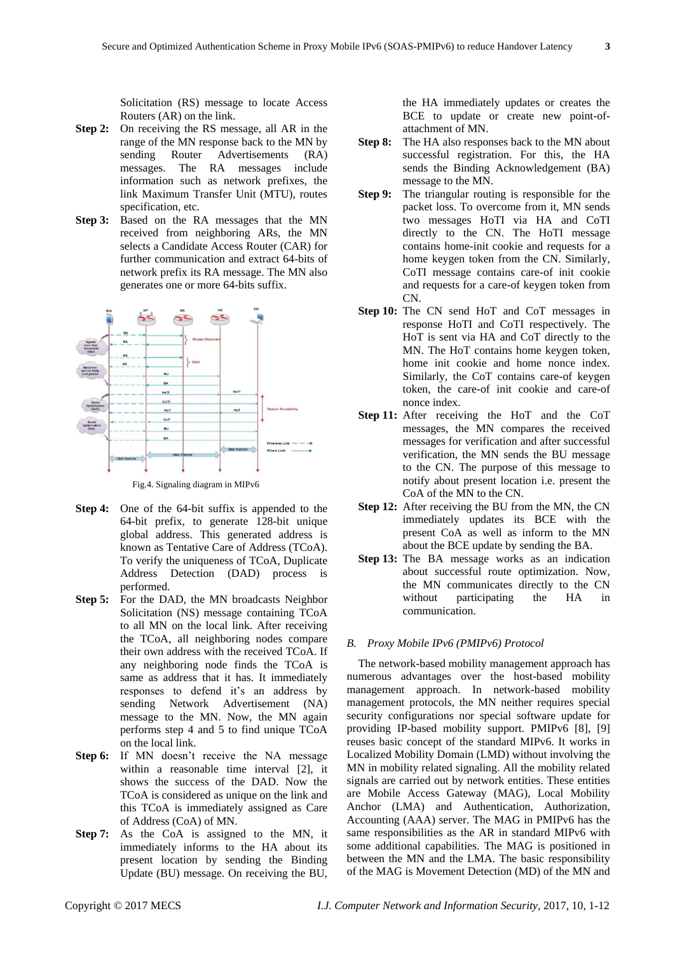Solicitation (RS) message to locate Access Routers (AR) on the link.

- **Step 2:** On receiving the RS message, all AR in the range of the MN response back to the MN by sending Router Advertisements (RA) messages. The RA messages include information such as network prefixes, the link Maximum Transfer Unit (MTU), routes specification, etc.
- **Step 3:** Based on the RA messages that the MN received from neighboring ARs, the MN selects a Candidate Access Router (CAR) for further communication and extract 64-bits of network prefix its RA message. The MN also generates one or more 64-bits suffix.



Fig.4. Signaling diagram in MIPv6

- **Step 4:** One of the 64-bit suffix is appended to the 64-bit prefix, to generate 128-bit unique global address. This generated address is known as Tentative Care of Address (TCoA). To verify the uniqueness of TCoA, Duplicate Address Detection (DAD) process is performed.
- **Step 5:** For the DAD, the MN broadcasts Neighbor Solicitation (NS) message containing TCoA to all MN on the local link. After receiving the TCoA, all neighboring nodes compare their own address with the received TCoA. If any neighboring node finds the TCoA is same as address that it has. It immediately responses to defend it's an address by sending Network Advertisement (NA) message to the MN. Now, the MN again performs step 4 and 5 to find unique TCoA on the local link.
- **Step 6:** If MN doesn't receive the NA message within a reasonable time interval [2], it shows the success of the DAD. Now the TCoA is considered as unique on the link and this TCoA is immediately assigned as Care of Address (CoA) of MN.
- **Step 7:** As the CoA is assigned to the MN, it immediately informs to the HA about its present location by sending the Binding Update (BU) message. On receiving the BU,

the HA immediately updates or creates the BCE to update or create new point-ofattachment of MN.

- **Step 8:** The HA also responses back to the MN about successful registration. For this, the HA sends the Binding Acknowledgement (BA) message to the MN.
- **Step 9:** The triangular routing is responsible for the packet loss. To overcome from it, MN sends two messages HoTI via HA and CoTI directly to the CN. The HoTI message contains home-init cookie and requests for a home keygen token from the CN. Similarly, CoTI message contains care-of init cookie and requests for a care-of keygen token from CN.
- **Step 10:** The CN send HoT and CoT messages in response HoTI and CoTI respectively. The HoT is sent via HA and CoT directly to the MN. The HoT contains home keygen token, home init cookie and home nonce index. Similarly, the CoT contains care-of keygen token, the care-of init cookie and care-of nonce index.
- **Step 11:** After receiving the HoT and the CoT messages, the MN compares the received messages for verification and after successful verification, the MN sends the BU message to the CN. The purpose of this message to notify about present location i.e. present the CoA of the MN to the CN.
- **Step 12:** After receiving the BU from the MN, the CN immediately updates its BCE with the present CoA as well as inform to the MN about the BCE update by sending the BA.
- **Step 13:** The BA message works as an indication about successful route optimization. Now, the MN communicates directly to the CN without participating the HA in communication.

# *B. Proxy Mobile IPv6 (PMIPv6) Protocol*

The network-based mobility management approach has numerous advantages over the host-based mobility management approach. In network-based mobility management protocols, the MN neither requires special security configurations nor special software update for providing IP-based mobility support. PMIPv6 [8], [9] reuses basic concept of the standard MIPv6. It works in Localized Mobility Domain (LMD) without involving the MN in mobility related signaling. All the mobility related signals are carried out by network entities. These entities are Mobile Access Gateway (MAG), Local Mobility Anchor (LMA) and Authentication, Authorization, Accounting (AAA) server. The MAG in PMIPv6 has the same responsibilities as the AR in standard MIPv6 with some additional capabilities. The MAG is positioned in between the MN and the LMA. The basic responsibility of the MAG is Movement Detection (MD) of the MN and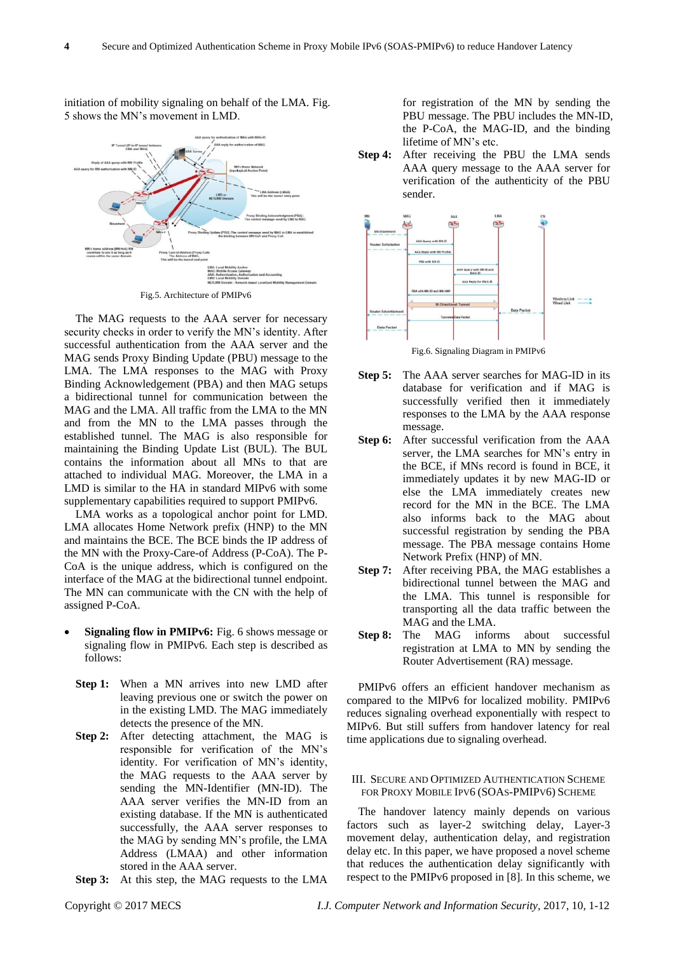

initiation of mobility signaling on behalf of the LMA. Fig. 5 shows the MN's movement in LMD.

Fig.5. Architecture of PMIPv6

The MAG requests to the AAA server for necessary security checks in order to verify the MN's identity. After successful authentication from the AAA server and the MAG sends Proxy Binding Update (PBU) message to the LMA. The LMA responses to the MAG with Proxy Binding Acknowledgement (PBA) and then MAG setups a bidirectional tunnel for communication between the MAG and the LMA. All traffic from the LMA to the MN and from the MN to the LMA passes through the established tunnel. The MAG is also responsible for maintaining the Binding Update List (BUL). The BUL contains the information about all MNs to that are attached to individual MAG. Moreover, the LMA in a LMD is similar to the HA in standard MIPv6 with some supplementary capabilities required to support PMIPv6.

LMA works as a topological anchor point for LMD. LMA allocates Home Network prefix (HNP) to the MN and maintains the BCE. The BCE binds the IP address of the MN with the Proxy-Care-of Address (P-CoA). The P-CoA is the unique address, which is configured on the interface of the MAG at the bidirectional tunnel endpoint. The MN can communicate with the CN with the help of assigned P-CoA.

- **Signaling flow in PMIPv6:** Fig. 6 shows message or signaling flow in PMIPv6. Each step is described as follows:
	- **Step 1:** When a MN arrives into new LMD after leaving previous one or switch the power on in the existing LMD. The MAG immediately detects the presence of the MN.
	- **Step 2:** After detecting attachment, the MAG is responsible for verification of the MN's identity. For verification of MN's identity, the MAG requests to the AAA server by sending the MN-Identifier (MN-ID). The AAA server verifies the MN-ID from an existing database. If the MN is authenticated successfully, the AAA server responses to the MAG by sending MN's profile, the LMA Address (LMAA) and other information stored in the AAA server.
	- **Step 3:** At this step, the MAG requests to the LMA

for registration of the MN by sending the PBU message. The PBU includes the MN-ID, the P-CoA, the MAG-ID, and the binding lifetime of MN's etc.

**Step 4:** After receiving the PBU the LMA sends AAA query message to the AAA server for verification of the authenticity of the PBU sender.



Fig.6. Signaling Diagram in PMIPv6

- **Step 5:** The AAA server searches for MAG-ID in its database for verification and if MAG is successfully verified then it immediately responses to the LMA by the AAA response message.
- **Step 6:** After successful verification from the AAA server, the LMA searches for MN's entry in the BCE, if MNs record is found in BCE, it immediately updates it by new MAG-ID or else the LMA immediately creates new record for the MN in the BCE. The LMA also informs back to the MAG about successful registration by sending the PBA message. The PBA message contains Home Network Prefix (HNP) of MN.
- **Step 7:** After receiving PBA, the MAG establishes a bidirectional tunnel between the MAG and the LMA. This tunnel is responsible for transporting all the data traffic between the MAG and the LMA.
- **Step 8:** The MAG informs about successful registration at LMA to MN by sending the Router Advertisement (RA) message.

PMIPv6 offers an efficient handover mechanism as compared to the MIPv6 for localized mobility. PMIPv6 reduces signaling overhead exponentially with respect to MIPv6. But still suffers from handover latency for real time applications due to signaling overhead.

### III. SECURE AND OPTIMIZED AUTHENTICATION SCHEME FOR PROXY MOBILE IPV6 (SOAS-PMIPV6) SCHEME

The handover latency mainly depends on various factors such as layer-2 switching delay, Layer-3 movement delay, authentication delay, and registration delay etc. In this paper, we have proposed a novel scheme that reduces the authentication delay significantly with respect to the PMIPv6 proposed in [8]. In this scheme, we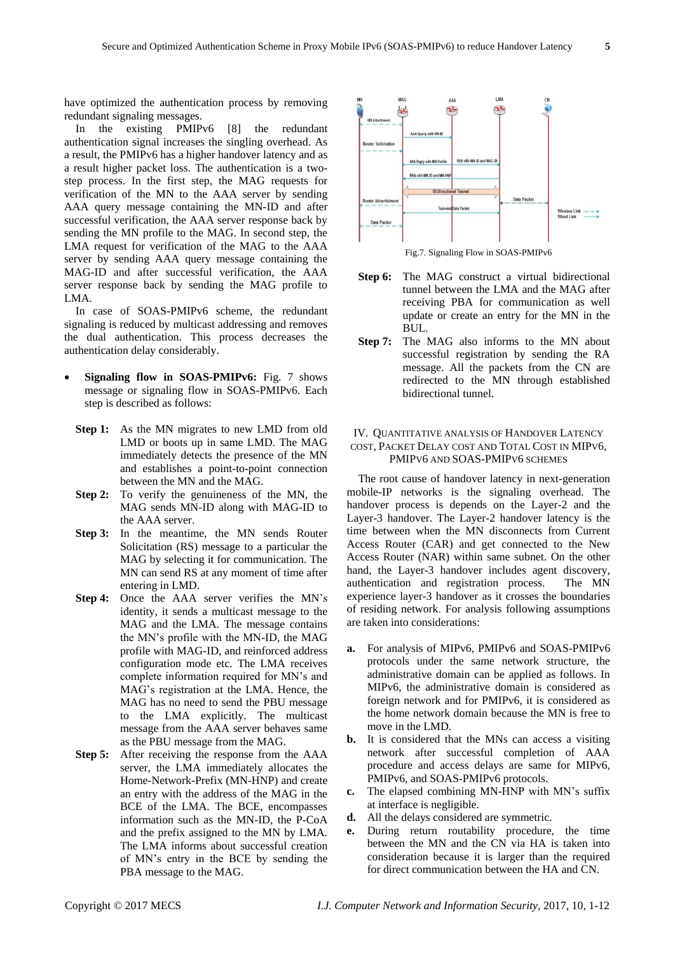have optimized the authentication process by removing redundant signaling messages.

In the existing PMIPv6 [8] the redundant authentication signal increases the singling overhead. As a result, the PMIPv6 has a higher handover latency and as a result higher packet loss. The authentication is a twostep process. In the first step, the MAG requests for verification of the MN to the AAA server by sending AAA query message containing the MN-ID and after successful verification, the AAA server response back by sending the MN profile to the MAG. In second step, the LMA request for verification of the MAG to the AAA server by sending AAA query message containing the MAG-ID and after successful verification, the AAA server response back by sending the MAG profile to LMA.

In case of SOAS-PMIPv6 scheme, the redundant signaling is reduced by multicast addressing and removes the dual authentication. This process decreases the authentication delay considerably.

- **Signaling flow in SOAS-PMIPv6:** Fig. 7 shows message or signaling flow in SOAS-PMIPv6. Each step is described as follows:
	- **Step 1:** As the MN migrates to new LMD from old LMD or boots up in same LMD. The MAG immediately detects the presence of the MN and establishes a point-to-point connection between the MN and the MAG.
	- **Step 2:** To verify the genuineness of the MN, the MAG sends MN-ID along with MAG-ID to the AAA server.
	- **Step 3:** In the meantime, the MN sends Router Solicitation (RS) message to a particular the MAG by selecting it for communication. The MN can send RS at any moment of time after entering in LMD.
	- **Step 4:** Once the AAA server verifies the MN's identity, it sends a multicast message to the MAG and the LMA. The message contains the MN's profile with the MN-ID, the MAG profile with MAG-ID, and reinforced address configuration mode etc. The LMA receives complete information required for MN's and MAG's registration at the LMA. Hence, the MAG has no need to send the PBU message to the LMA explicitly. The multicast message from the AAA server behaves same as the PBU message from the MAG.
	- **Step 5:** After receiving the response from the AAA server, the LMA immediately allocates the Home-Network-Prefix (MN-HNP) and create an entry with the address of the MAG in the BCE of the LMA. The BCE, encompasses information such as the MN-ID, the P-CoA and the prefix assigned to the MN by LMA. The LMA informs about successful creation of MN's entry in the BCE by sending the PBA message to the MAG.



Fig.7. Signaling Flow in SOAS-PMIPv6

- **Step 6:** The MAG construct a virtual bidirectional tunnel between the LMA and the MAG after receiving PBA for communication as well update or create an entry for the MN in the BUL.
- **Step 7:** The MAG also informs to the MN about successful registration by sending the RA message. All the packets from the CN are redirected to the MN through established bidirectional tunnel.

# IV. QUANTITATIVE ANALYSIS OF HANDOVER LATENCY COST, PACKET DELAY COST AND TOTAL COST IN MIPV6, PMIPV6 AND SOAS-PMIPV6 SCHEMES

The root cause of handover latency in next-generation mobile-IP networks is the signaling overhead. The handover process is depends on the Layer-2 and the Layer-3 handover. The Layer-2 handover latency is the time between when the MN disconnects from Current Access Router (CAR) and get connected to the New Access Router (NAR) within same subnet. On the other hand, the Layer-3 handover includes agent discovery, authentication and registration process. The MN experience layer-3 handover as it crosses the boundaries of residing network. For analysis following assumptions are taken into considerations:

- **a.** For analysis of MIPv6, PMIPv6 and SOAS-PMIPv6 protocols under the same network structure, the administrative domain can be applied as follows. In MIPv6, the administrative domain is considered as foreign network and for PMIPv6, it is considered as the home network domain because the MN is free to move in the LMD.
- **b.** It is considered that the MNs can access a visiting network after successful completion of AAA procedure and access delays are same for MIPv6, PMIPv6, and SOAS-PMIPv6 protocols.
- **c.** The elapsed combining MN-HNP with MN's suffix at interface is negligible.
- **d.** All the delays considered are symmetric.
- **e.** During return routability procedure, the time between the MN and the CN via HA is taken into consideration because it is larger than the required for direct communication between the HA and CN.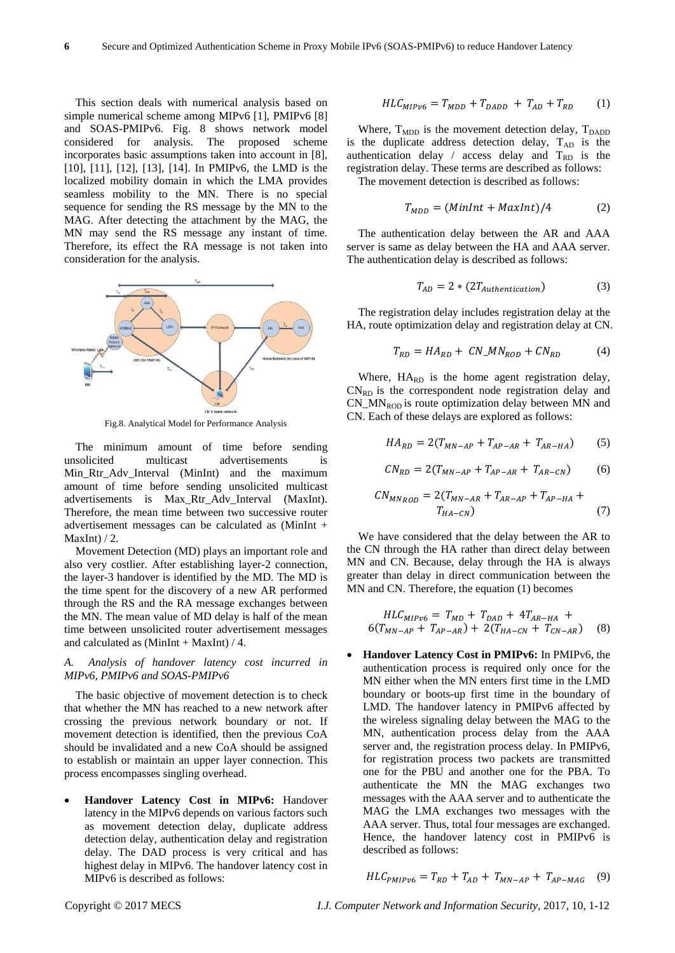This section deals with numerical analysis based on simple numerical scheme among MIPv6 [1], PMIPv6 [8] and SOAS-PMIPv6. Fig. 8 shows network model considered for analysis. The proposed scheme incorporates basic assumptions taken into account in [8], [10], [11], [12], [13], [14]. In PMIPv6, the LMD is the localized mobility domain in which the LMA provides seamless mobility to the MN. There is no special sequence for sending the RS message by the MN to the MAG. After detecting the attachment by the MAG, the MN may send the RS message any instant of time. Therefore, its effect the RA message is not taken into consideration for the analysis.



Fig.8. Analytical Model for Performance Analysis

The minimum amount of time before sending unsolicited multicast advertisements is Min Rtr Adv Interval (MinInt) and the maximum amount of time before sending unsolicited multicast advertisements is Max\_Rtr\_Adv\_Interval (MaxInt). Therefore, the mean time between two successive router advertisement messages can be calculated as (MinInt + MaxInt $)/2$ .

Movement Detection (MD) plays an important role and also very costlier. After establishing layer-2 connection, the layer-3 handover is identified by the MD. The MD is the time spent for the discovery of a new AR performed through the RS and the RA message exchanges between the MN. The mean value of MD delay is half of the mean time between unsolicited router advertisement messages and calculated as  $(MinInt + MaxInt) / 4$ .

# *A. Analysis of handover latency cost incurred in MIPv6, PMIPv6 and SOAS-PMIPv6*

The basic objective of movement detection is to check that whether the MN has reached to a new network after crossing the previous network boundary or not. If movement detection is identified, then the previous CoA should be invalidated and a new CoA should be assigned to establish or maintain an upper layer connection. This process encompasses singling overhead.

 **Handover Latency Cost in MIPv6:** Handover latency in the MIPv6 depends on various factors such as movement detection delay, duplicate address detection delay, authentication delay and registration delay. The DAD process is very critical and has highest delay in MIPv6. The handover latency cost in MIPv6 is described as follows:

$$
HLC_{MIPv6} = T_{MDD} + T_{DADD} + T_{AD} + T_{RD}
$$
 (1)

Where,  $T_{MDD}$  is the movement detection delay,  $T_{DADD}$ is the duplicate address detection delay,  $T_{AD}$  is the authentication delay / access delay and  $T_{RD}$  is the registration delay. These terms are described as follows:

The movement detection is described as follows:

$$
T_{MDD} = (MinInt + MaxInt)/4 \tag{2}
$$

The authentication delay between the AR and AAA server is same as delay between the HA and AAA server. The authentication delay is described as follows:

$$
T_{AD} = 2 * (2T_{Authentication})
$$
 (3)

The registration delay includes registration delay at the HA, route optimization delay and registration delay at CN.

$$
T_{RD} = HA_{RD} + CN\_MN_{ROD} + CN_{RD} \tag{4}
$$

Where,  $HA_{RD}$  is the home agent registration delay,  $CN<sub>RD</sub>$  is the correspondent node registration delay and CN\_MN<sub>ROD</sub> is route optimization delay between MN and CN. Each of these delays are explored as follows:

$$
HA_{RD} = 2(T_{MN-AP} + T_{AP-AR} + T_{AR-HA})
$$
 (5)

$$
CN_{RD} = 2(T_{MN-AP} + T_{AP-AR} + T_{AR-CN})
$$
 (6)

$$
CN_{MN_{ROD}} = 2(T_{MN-AR} + T_{AR-AP} + T_{AP-HA} + T_{HA-CN})
$$
\n(7)

We have considered that the delay between the AR to the CN through the HA rather than direct delay between MN and CN. Because, delay through the HA is always greater than delay in direct communication between the MN and CN. Therefore, the equation (1) becomes

$$
HLC_{MIP\nu6} = T_{MD} + T_{DAD} + 4T_{AR-HA} + 6(T_{MN-AP} + T_{AP-AR}) + 2(T_{HA-CN} + T_{CN-AR})
$$
 (8)

 **Handover Latency Cost in PMIPv6:** In PMIPv6, the authentication process is required only once for the MN either when the MN enters first time in the LMD boundary or boots-up first time in the boundary of LMD. The handover latency in PMIPv6 affected by the wireless signaling delay between the MAG to the MN, authentication process delay from the AAA server and, the registration process delay. In PMIPv6, for registration process two packets are transmitted one for the PBU and another one for the PBA. To authenticate the MN the MAG exchanges two messages with the AAA server and to authenticate the MAG the LMA exchanges two messages with the AAA server. Thus, total four messages are exchanged. Hence, the handover latency cost in PMIPv6 is described as follows:

$$
HLC_{PMIPv6} = T_{RD} + T_{AD} + T_{MN-AP} + T_{AP-MAG} \quad (9)
$$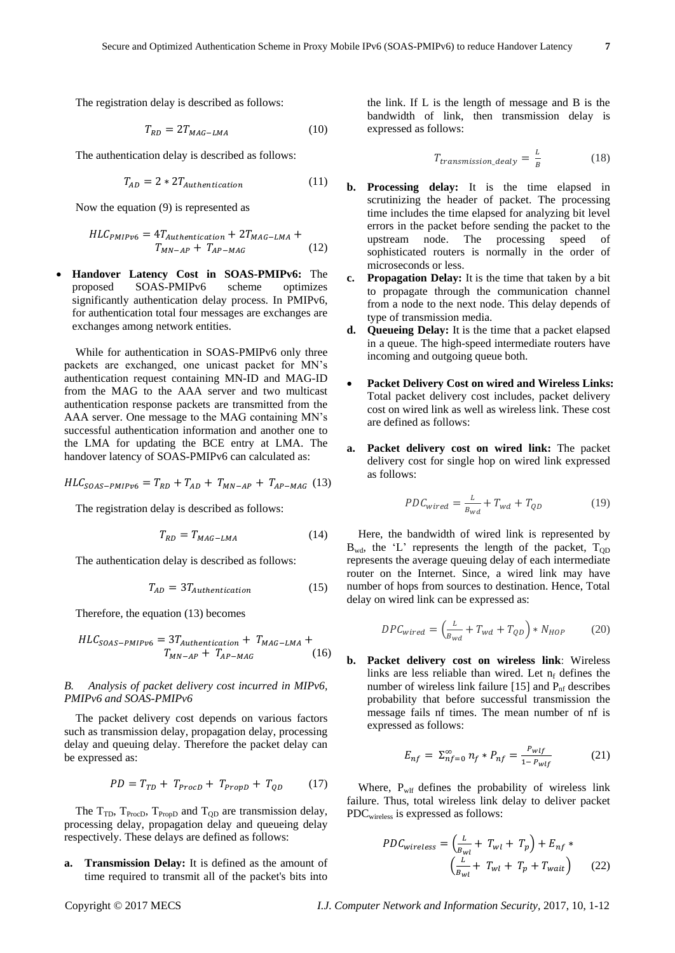The registration delay is described as follows:

$$
T_{RD} = 2T_{MAG-LMA} \tag{10}
$$

The authentication delay is described as follows:

$$
T_{AD} = 2 * 2T_{Authentication}
$$
 (11)

Now the equation (9) is represented as

$$
HLC_{PMIPv6} = 4T_{Authentication} + 2T_{MAG-LMA} + T_{MN-AP} + T_{AP-MAG}
$$
 (12)

 **Handover Latency Cost in SOAS-PMIPv6:** The proposed SOAS-PMIPv6 scheme optimizes significantly authentication delay process. In PMIPv6, for authentication total four messages are exchanges are exchanges among network entities.

While for authentication in SOAS-PMIPv6 only three packets are exchanged, one unicast packet for MN's authentication request containing MN-ID and MAG-ID from the MAG to the AAA server and two multicast authentication response packets are transmitted from the AAA server. One message to the MAG containing MN's successful authentication information and another one to the LMA for updating the BCE entry at LMA. The handover latency of SOAS-PMIPv6 can calculated as:

 $HLC_{SOAS-PMIPv6} = T_{RD} + T_{AD} + T_{MN-AP} + T_{AP-MAG}$  (13)

The registration delay is described as follows:

$$
T_{RD} = T_{MAG-LMA} \tag{14}
$$

The authentication delay is described as follows:

$$
T_{AD} = 3T_{Authentication} \tag{15}
$$

Therefore, the equation (13) becomes

$$
HLC_{SOAS-PMIPv6} = 3T_{Authentication} + T_{MAG-LMA} + T_{MNG-P} + T_{AP-MAG}
$$
 (16)

# *B. Analysis of packet delivery cost incurred in MIPv6, PMIPv6 and SOAS-PMIPv6*

The packet delivery cost depends on various factors such as transmission delay, propagation delay, processing delay and queuing delay. Therefore the packet delay can be expressed as:

$$
PD = T_{TD} + T_{Proof} + T_{PropD} + T_{QD} \tag{17}
$$

The  $T_{TD}$ ,  $T_{Proc}$ ,  $T_{Prop}$  and  $T_{OD}$  are transmission delay, processing delay, propagation delay and queueing delay respectively. These delays are defined as follows:

**a. Transmission Delay:** It is defined as the amount of time required to transmit all of the packet's bits into the link. If L is the length of message and B is the bandwidth of link, then transmission delay is expressed as follows:

$$
T_{transmission\_delay} = \frac{L}{B} \tag{18}
$$

- **b. Processing delay:** It is the time elapsed in scrutinizing the header of packet. The processing time includes the time elapsed for analyzing bit level errors in the packet before sending the packet to the upstream node. The processing speed of sophisticated routers is normally in the order of microseconds or less.
- **c. Propagation Delay:** It is the time that taken by a bit to propagate through the communication channel from a node to the next node. This delay depends of type of transmission media.
- **d. Queueing Delay:** It is the time that a packet elapsed in a queue. The high-speed intermediate routers have incoming and outgoing queue both.
- **Packet Delivery Cost on wired and Wireless Links:**  Total packet delivery cost includes, packet delivery cost on wired link as well as wireless link. These cost are defined as follows:
- **a. Packet delivery cost on wired link:** The packet delivery cost for single hop on wired link expressed as follows:

$$
PDC_{wired} = \frac{L}{B_{wd}} + T_{wd} + T_{QD} \tag{19}
$$

Here, the bandwidth of wired link is represented by  $B_{wd}$ , the 'L' represents the length of the packet,  $T_{OD}$ represents the average queuing delay of each intermediate router on the Internet. Since, a wired link may have number of hops from sources to destination. Hence, Total delay on wired link can be expressed as:

$$
DPC_{wired} = \left(\frac{L}{B_{wd}} + T_{wd} + T_{QD}\right) * N_{HOP} \tag{20}
$$

**b. Packet delivery cost on wireless link**: Wireless links are less reliable than wired. Let  $n_f$  defines the number of wireless link failure  $[15]$  and  $P_{\text{nf}}$  describes probability that before successful transmission the message fails nf times. The mean number of nf is expressed as follows:

$$
E_{nf} = \Sigma_{nf=0}^{\infty} n_f * P_{nf} = \frac{P_{wlf}}{1 - P_{wlf}} \tag{21}
$$

Where,  $P_{w1f}$  defines the probability of wireless link failure. Thus, total wireless link delay to deliver packet PDCwireless is expressed as follows:

$$
PDC_{wireless} = \left(\frac{L}{B_{wl}} + T_{wl} + T_p\right) + E_{nf} * \left(\frac{L}{B_{wl}} + T_{wl} + T_p + T_{wait}\right)
$$
(22)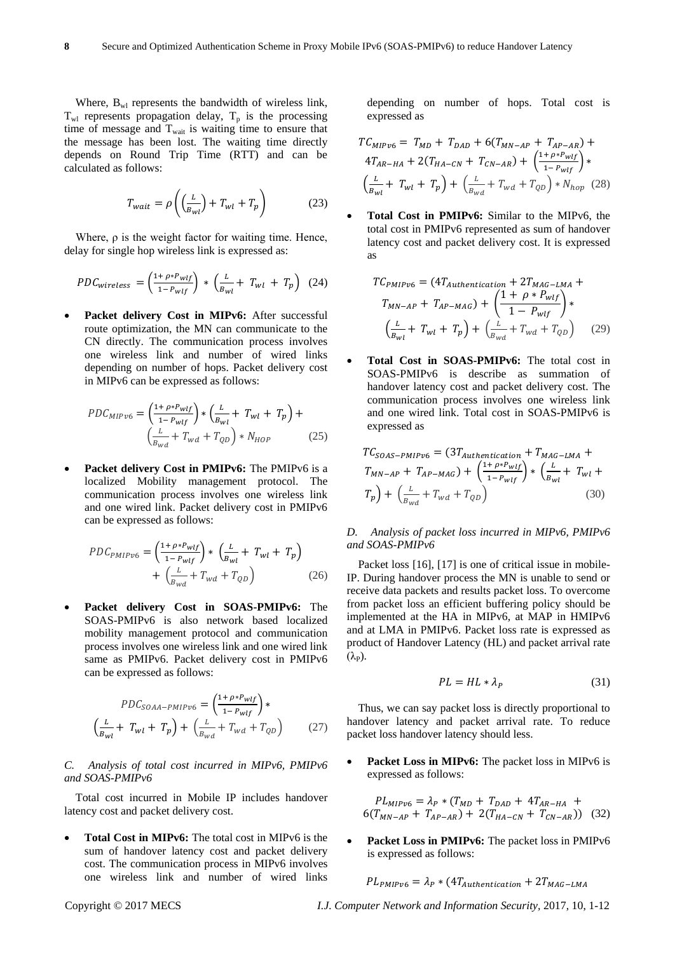Where,  $B_{wl}$  represents the bandwidth of wireless link,  $T_{wl}$  represents propagation delay,  $T_p$  is the processing time of message and  $T_{wait}$  is waiting time to ensure that the message has been lost. The waiting time directly depends on Round Trip Time (RTT) and can be calculated as follows:

$$
T_{wait} = \rho \left( \left( \frac{L}{B_{wl}} \right) + T_{wl} + T_p \right) \tag{23}
$$

Where,  $\rho$  is the weight factor for waiting time. Hence, delay for single hop wireless link is expressed as:

$$
PDC_{wireless} = \left(\frac{1 + \rho * P_{wlf}}{1 - P_{wlf}}\right) * \left(\frac{L}{B_{wl}} + T_{wl} + T_p\right) (24)
$$

 **Packet delivery Cost in MIPv6:** After successful route optimization, the MN can communicate to the CN directly. The communication process involves one wireless link and number of wired links depending on number of hops. Packet delivery cost in MIPv6 can be expressed as follows:

$$
PDC_{MIPv6} = \left(\frac{1 + \rho * P_{wlf}}{1 - P_{wlf}}\right) * \left(\frac{L}{B_{wl}} + T_{wl} + T_p\right) + \left(\frac{L}{B_{wd}} + T_{wd} + T_{QD}\right) * N_{HOP}
$$
(25)

Packet delivery Cost in PMIPv6: The PMIPv6 is a localized Mobility management protocol. The communication process involves one wireless link and one wired link. Packet delivery cost in PMIPv6 can be expressed as follows:

$$
PDC_{PMIPv6} = \left(\frac{1 + \rho * P_{wlf}}{1 - P_{wlf}}\right) * \left(\frac{L}{B_{wl}} + T_{wl} + T_p\right) + \left(\frac{L}{B_{wd}} + T_{wd} + T_{QD}\right)
$$
(26)

 **Packet delivery Cost in SOAS-PMIPv6:** The SOAS-PMIPv6 is also network based localized mobility management protocol and communication process involves one wireless link and one wired link same as PMIPv6. Packet delivery cost in PMIPv6 can be expressed as follows:

$$
PDC_{SOAA-PMIPv6} = \left(\frac{1 + \rho * P_{wlf}}{1 - P_{wlf}}\right) * \left(\frac{L}{B_{wl}} + T_{wl} + T_p\right) + \left(\frac{L}{B_{wd}} + T_{wd} + T_{QD}\right)
$$
(27)

## *C. Analysis of total cost incurred in MIPv6, PMIPv6 and SOAS-PMIPv6*

Total cost incurred in Mobile IP includes handover latency cost and packet delivery cost.

 **Total Cost in MIPv6:** The total cost in MIPv6 is the sum of handover latency cost and packet delivery cost. The communication process in MIPv6 involves one wireless link and number of wired links

depending on number of hops. Total cost is expressed as

$$
TC_{MIPv6} = T_{MD} + T_{DAD} + 6(T_{MN-AP} + T_{AP-AR}) +
$$
  
\n
$$
4T_{AR-HA} + 2(T_{HA-CN} + T_{CN-AR}) + \left(\frac{1 + \rho^* P_{wlf}}{1 - P_{wlf}}\right) *
$$
  
\n
$$
\left(\frac{L}{B_{wl}} + T_{wl} + T_p\right) + \left(\frac{L}{B_{wd}} + T_{wd} + T_{QD}\right) * N_{hop} \tag{28}
$$

 **Total Cost in PMIPv6:** Similar to the MIPv6, the total cost in PMIPv6 represented as sum of handover latency cost and packet delivery cost. It is expressed as

$$
TC_{PMIPv6} = (4T_{Authentication} + 2T_{MAG-LMA} + T_{MN-AP} + T_{AP-MAG}) + \left(\frac{1 + \rho * P_{wlf}}{1 - P_{wlf}}\right) * \left(\frac{L}{B_{wl}} + T_{wl} + T_p\right) + \left(\frac{L}{B_{wd}} + T_{wd} + T_{QD}\right)
$$
 (29)

 **Total Cost in SOAS-PMIPv6:** The total cost in SOAS-PMIPv6 is describe as summation of handover latency cost and packet delivery cost. The communication process involves one wireless link and one wired link. Total cost in SOAS-PMIPv6 is expressed as

$$
TC_{SOAS-PMIPv6} = (3T_{Authentication} + T_{MAG-LMA} + T_{MN-AP} + T_{AP-MAG}) + \left(\frac{1 + \rho * P_{wlf}}{1 - P_{wlf}}\right) * \left(\frac{L}{B_{wl}} + T_{wl} + T_p\right) + \left(\frac{L}{B_{wd}} + T_{wd} + T_{QD}\right)
$$
(30)

# *D. Analysis of packet loss incurred in MIPv6, PMIPv6 and SOAS-PMIPv6*

Packet loss [16], [17] is one of critical issue in mobile-IP. During handover process the MN is unable to send or receive data packets and results packet loss. To overcome from packet loss an efficient buffering policy should be implemented at the HA in MIPv6, at MAP in HMIPv6 and at LMA in PMIPv6. Packet loss rate is expressed as product of Handover Latency (HL) and packet arrival rate  $(\lambda_{\rm P})$ .

$$
PL = HL * \lambda_P \tag{31}
$$

Thus, we can say packet loss is directly proportional to handover latency and packet arrival rate. To reduce packet loss handover latency should less.

 **Packet Loss in MIPv6:** The packet loss in MIPv6 is expressed as follows:

$$
PL_{MIP\nu6} = \lambda_P * (T_{MD} + T_{DAD} + 4T_{AR-HA} + 6(T_{MN-AP} + T_{AP-AR}) + 2(T_{HA-CN} + T_{CN-AR}))
$$
 (32)

 **Packet Loss in PMIPv6:** The packet loss in PMIPv6 is expressed as follows:

$$
PL_{PMIPv6} = \lambda_P * (4T_{Authentication} + 2T_{MAG-LMA}
$$

Copyright © 2017 MECS *I.J. Computer Network and Information Security,* 2017, 10, 1-12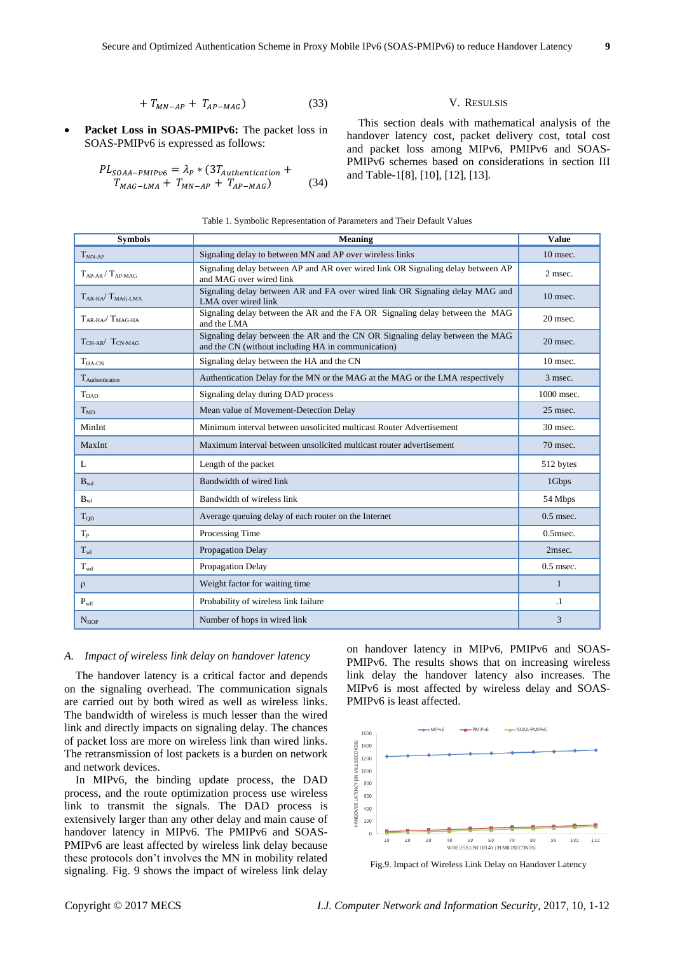$$
+T_{MN-AP} + T_{AP-MAG}) \tag{33}
$$

Packet Loss in SOAS-PMIPv6: The packet loss in SOAS-PMIPv6 is expressed as follows:

$$
PL_{SOAA-PMIPv6} = \lambda_P * (3T_{Authentication} + T_{MAG-LMA} + T_{MN-AP} + T_{AP-MAG})
$$
\n(34)

#### V. RESULSIS

This section deals with mathematical analysis of the handover latency cost, packet delivery cost, total cost and packet loss among MIPv6, PMIPv6 and SOAS-PMIPv6 schemes based on considerations in section III and Table-1[8], [10], [12], [13].

| Table 1. Symbolic Representation of Parameters and Their Default Values |
|-------------------------------------------------------------------------|
|-------------------------------------------------------------------------|

| <b>Symbols</b>                                 | <b>Meaning</b>                                                                                                                     | <b>Value</b> |
|------------------------------------------------|------------------------------------------------------------------------------------------------------------------------------------|--------------|
| $T_{MN-AP}$                                    | Signaling delay to between MN and AP over wireless links                                                                           | $10$ msec.   |
| $T_{AP-AR}$ / $T_{AP-MAC}$                     | Signaling delay between AP and AR over wired link OR Signaling delay between AP<br>and MAG over wired link                         | 2 msec.      |
| $T_{\rm AR\text{-}HA}/T_{\rm MAG\text{-}IMA}$  | Signaling delay between AR and FA over wired link OR Signaling delay MAG and<br>LMA over wired link                                | 10 msec.     |
| $T_{\rm AR\text{-}HA}$ $T_{\rm MAG\text{-}HA}$ | Signaling delay between the AR and the FA OR Signaling delay between the MAG<br>and the LMA                                        | 20 msec.     |
| $T_{CN-AR}$ $T_{CN-MAG}$                       | Signaling delay between the AR and the CN OR Signaling delay between the MAG<br>and the CN (without including HA in communication) | $20$ msec.   |
| $T_{HA-CN}$                                    | Signaling delay between the HA and the CN                                                                                          | 10 msec.     |
| T <sub>Authentication</sub>                    | Authentication Delay for the MN or the MAG at the MAG or the LMA respectively                                                      | 3 msec.      |
| $T_{\text{DAD}}$                               | Signaling delay during DAD process                                                                                                 | 1000 msec.   |
| $T_{MD}$                                       | Mean value of Movement-Detection Delay                                                                                             | 25 msec.     |
| MinInt                                         | Minimum interval between unsolicited multicast Router Advertisement                                                                | 30 msec.     |
| MaxInt                                         | Maximum interval between unsolicited multicast router advertisement                                                                | 70 msec.     |
| L                                              | Length of the packet                                                                                                               | 512 bytes    |
| $\mathbf{B}_{\rm wd}$                          | Bandwidth of wired link                                                                                                            | 1Gbps        |
| $B_{wl}$                                       | Bandwidth of wireless link                                                                                                         | 54 Mbps      |
| $T_{OD}$                                       | Average queuing delay of each router on the Internet                                                                               | $0.5$ msec.  |
| $T_{P}$                                        | Processing Time                                                                                                                    | $0.5$ msec.  |
| $T_{wl}$                                       | Propagation Delay                                                                                                                  | 2msec.       |
| $T_{wd}$                                       | Propagation Delay                                                                                                                  | $0.5$ msec.  |
| $\rho$                                         | Weight factor for waiting time                                                                                                     | $\mathbf{1}$ |
| $\mathbf{P}_{\text{wlf}}$                      | Probability of wireless link failure                                                                                               | $\cdot$ 1    |
| $N_{HOP}$                                      | Number of hops in wired link                                                                                                       | 3            |

#### *A. Impact of wireless link delay on handover latency*

The handover latency is a critical factor and depends on the signaling overhead. The communication signals are carried out by both wired as well as wireless links. The bandwidth of wireless is much lesser than the wired link and directly impacts on signaling delay. The chances of packet loss are more on wireless link than wired links. The retransmission of lost packets is a burden on network and network devices.

In MIPv6, the binding update process, the DAD process, and the route optimization process use wireless link to transmit the signals. The DAD process is extensively larger than any other delay and main cause of handover latency in MIPv6. The PMIPv6 and SOAS-PMIPv6 are least affected by wireless link delay because these protocols don't involves the MN in mobility related signaling. Fig. 9 shows the impact of wireless link delay on handover latency in MIPv6, PMIPv6 and SOAS-PMIPv6. The results shows that on increasing wireless link delay the handover latency also increases. The MIPv6 is most affected by wireless delay and SOAS-PMIPv6 is least affected.



Fig.9. Impact of Wireless Link Delay on Handover Latency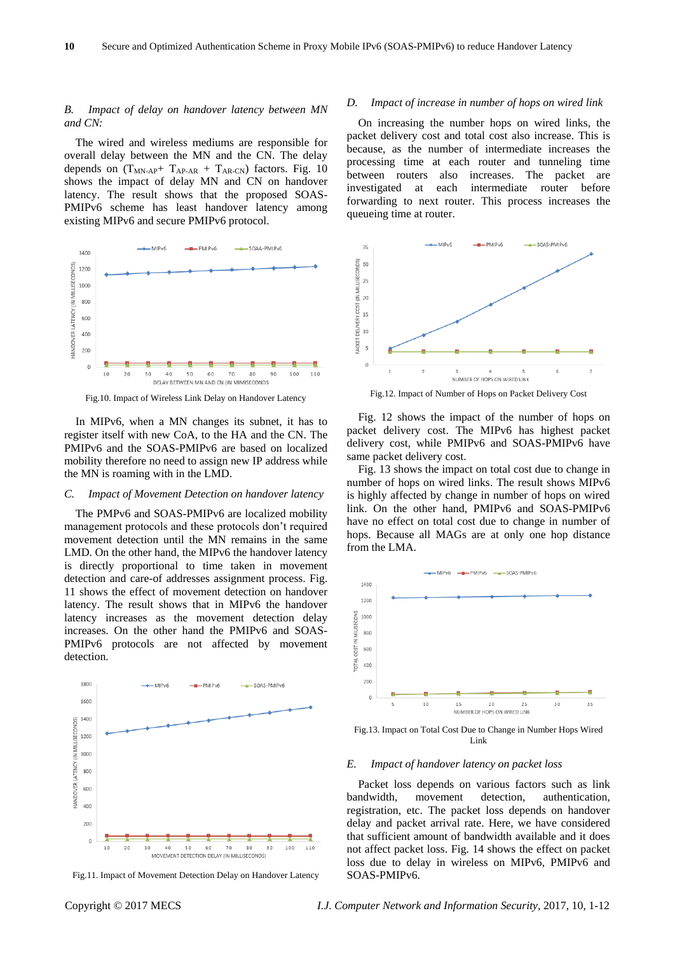# *B. Impact of delay on handover latency between MN and CN:*

The wired and wireless mediums are responsible for overall delay between the MN and the CN. The delay depends on  $(T_{MN-AP} + T_{AP-AR} + T_{AR-CN})$  factors. Fig. 10 shows the impact of delay MN and CN on handover latency. The result shows that the proposed SOAS-PMIPv6 scheme has least handover latency among existing MIPv6 and secure PMIPv6 protocol.



Fig.10. Impact of Wireless Link Delay on Handover Latency

In MIPv6, when a MN changes its subnet, it has to register itself with new CoA, to the HA and the CN. The PMIPv6 and the SOAS-PMIPv6 are based on localized mobility therefore no need to assign new IP address while the MN is roaming with in the LMD.

#### *C. Impact of Movement Detection on handover latency*

The PMPv6 and SOAS-PMIPv6 are localized mobility management protocols and these protocols don't required movement detection until the MN remains in the same LMD. On the other hand, the MIPv6 the handover latency is directly proportional to time taken in movement detection and care-of addresses assignment process. Fig. 11 shows the effect of movement detection on handover latency. The result shows that in MIPv6 the handover latency increases as the movement detection delay increases. On the other hand the PMIPv6 and SOAS-PMIPv6 protocols are not affected by movement detection.



Fig.11. Impact of Movement Detection Delay on Handover Latency

#### *D. Impact of increase in number of hops on wired link*

On increasing the number hops on wired links, the packet delivery cost and total cost also increase. This is because, as the number of intermediate increases the processing time at each router and tunneling time between routers also increases. The packet are investigated at each intermediate router before forwarding to next router. This process increases the queueing time at router.



Fig.12. Impact of Number of Hops on Packet Delivery Cost

Fig. 12 shows the impact of the number of hops on packet delivery cost. The MIPv6 has highest packet delivery cost, while PMIPv6 and SOAS-PMIPv6 have same packet delivery cost.

Fig. 13 shows the impact on total cost due to change in number of hops on wired links. The result shows MIPv6 is highly affected by change in number of hops on wired link. On the other hand, PMIPv6 and SOAS-PMIPv6 have no effect on total cost due to change in number of hops. Because all MAGs are at only one hop distance from the LMA.



Fig.13. Impact on Total Cost Due to Change in Number Hops Wired Link

#### *E. Impact of handover latency on packet loss*

Packet loss depends on various factors such as link bandwidth, movement detection, authentication, registration, etc. The packet loss depends on handover delay and packet arrival rate. Here, we have considered that sufficient amount of bandwidth available and it does not affect packet loss. Fig. 14 shows the effect on packet loss due to delay in wireless on MIPv6, PMIPv6 and SOAS-PMIPv6.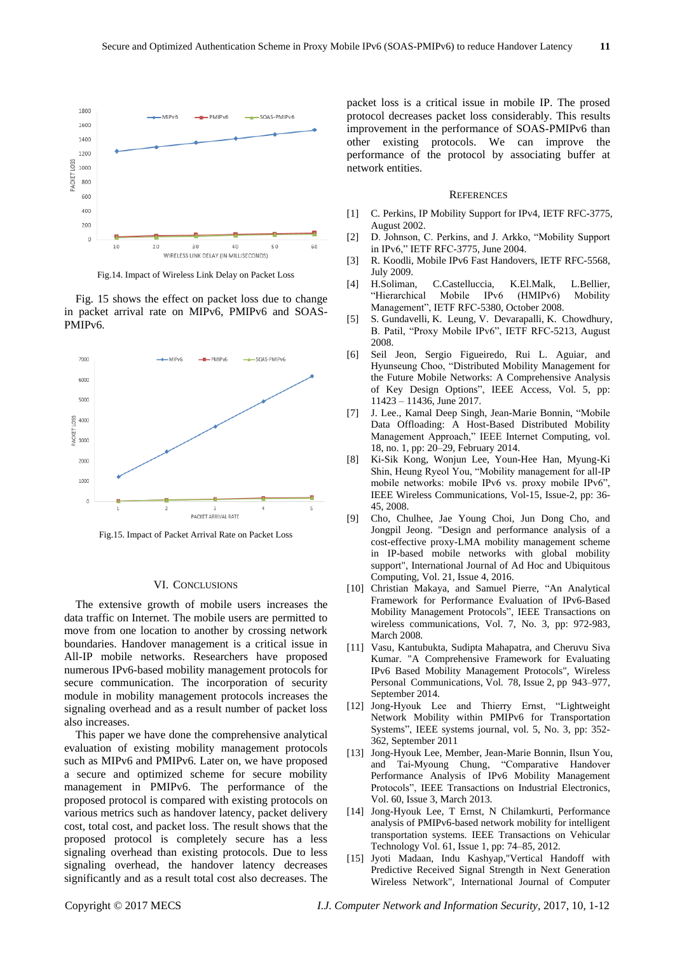

Fig.14. Impact of Wireless Link Delay on Packet Loss

Fig. 15 shows the effect on packet loss due to change in packet arrival rate on MIPv6, PMIPv6 and SOAS-PMIPv6.



Fig.15. Impact of Packet Arrival Rate on Packet Loss

#### VI. CONCLUSIONS

The extensive growth of mobile users increases the data traffic on Internet. The mobile users are permitted to move from one location to another by crossing network boundaries. Handover management is a critical issue in All-IP mobile networks. Researchers have proposed numerous IPv6-based mobility management protocols for secure communication. The incorporation of security module in mobility management protocols increases the signaling overhead and as a result number of packet loss also increases.

This paper we have done the comprehensive analytical evaluation of existing mobility management protocols such as MIPv6 and PMIPv6. Later on, we have proposed a secure and optimized scheme for secure mobility management in PMIPv6. The performance of the proposed protocol is compared with existing protocols on various metrics such as handover latency, packet delivery cost, total cost, and packet loss. The result shows that the proposed protocol is completely secure has a less signaling overhead than existing protocols. Due to less signaling overhead, the handover latency decreases significantly and as a result total cost also decreases. The packet loss is a critical issue in mobile IP. The prosed protocol decreases packet loss considerably. This results improvement in the performance of SOAS-PMIPv6 than other existing protocols. We can improve the performance of the protocol by associating buffer at network entities.

#### **REFERENCES**

- [1] C. Perkins, IP Mobility Support for IPv4, IETF RFC-3775, August 2002.
- [2] D. Johnson, C. Perkins, and J. Arkko, "Mobility Support in IPv6," IETF RFC-3775, June 2004.
- [3] R. Koodli, Mobile IPv6 Fast Handovers, IETF RFC-5568, July 2009.
- [4] H.Soliman, C.Castelluccia, K.El.Malk, L.Bellier, "Hierarchical Mobile IPv6 (HMIPv6) Mobility Management", IETF RFC-5380, October 2008.
- [5] S. Gundavelli, K. Leung, V. Devarapalli, K. Chowdhury, B. Patil, "Proxy Mobile IPv6", IETF RFC-5213, August 2008.
- [6] Seil Jeon, Sergio Figueiredo, Rui L. Aguiar, and Hyunseung Choo, "Distributed Mobility Management for the Future Mobile Networks: A Comprehensive Analysis of Key Design Options", IEEE Access, Vol. 5, pp: 11423 – 11436, June 2017.
- [7] J. Lee., Kamal Deep Singh, Jean-Marie Bonnin, "Mobile Data Offloading: A Host-Based Distributed Mobility Management Approach," IEEE Internet Computing, vol. 18, no. 1, pp: 20–29, February 2014.
- [8] Ki-Sik Kong, Wonjun Lee, Youn-Hee Han, Myung-Ki Shin, Heung Ryeol You, "Mobility management for all-IP mobile networks: mobile IPv6 vs. proxy mobile IPv6", IEEE Wireless Communications, Vol-15, Issue-2, pp: 36- 45, 2008.
- [9] Cho, Chulhee, Jae Young Choi, Jun Dong Cho, and Jongpil Jeong. "Design and performance analysis of a cost-effective proxy-LMA mobility management scheme in IP-based mobile networks with global mobility support", International Journal of Ad Hoc and Ubiquitous Computing, Vol. 21, Issue 4, 2016.
- [10] Christian Makaya, and Samuel Pierre, "An Analytical Framework for Performance Evaluation of IPv6-Based Mobility Management Protocols", IEEE Transactions on wireless communications, Vol. 7, No. 3, pp: 972-983, March 2008.
- [11] Vasu, Kantubukta, Sudipta Mahapatra, and Cheruvu Siva Kumar. "A Comprehensive Framework for Evaluating IPv6 Based Mobility Management Protocols", Wireless Personal Communications, Vol. 78, Issue 2, pp 943–977, September 2014.
- [12] Jong-Hyouk Lee and Thierry Ernst, "Lightweight Network Mobility within PMIPv6 for Transportation Systems", IEEE systems journal, vol. 5, No. 3, pp: 352- 362, September 2011
- [13] Jong-Hyouk Lee, Member, Jean-Marie Bonnin, Ilsun You, and Tai-Myoung Chung, "Comparative Handover Performance Analysis of IPv6 Mobility Management Protocols", IEEE Transactions on Industrial Electronics, Vol. 60, Issue 3, March 2013.
- [14] Jong-Hyouk Lee, T Ernst, N Chilamkurti, Performance analysis of PMIPv6-based network mobility for intelligent transportation systems. [IEEE Transactions on Vehicular](http://ieeexplore.ieee.org/xpl/RecentIssue.jsp?punumber=25)  [Technology](http://ieeexplore.ieee.org/xpl/RecentIssue.jsp?punumber=25) Vol. 61, Issue 1, pp: 74–85, 2012.
- [15] Jyoti Madaan, Indu Kashyap,"Vertical Handoff with Predictive Received Signal Strength in Next Generation Wireless Network", International Journal of Computer